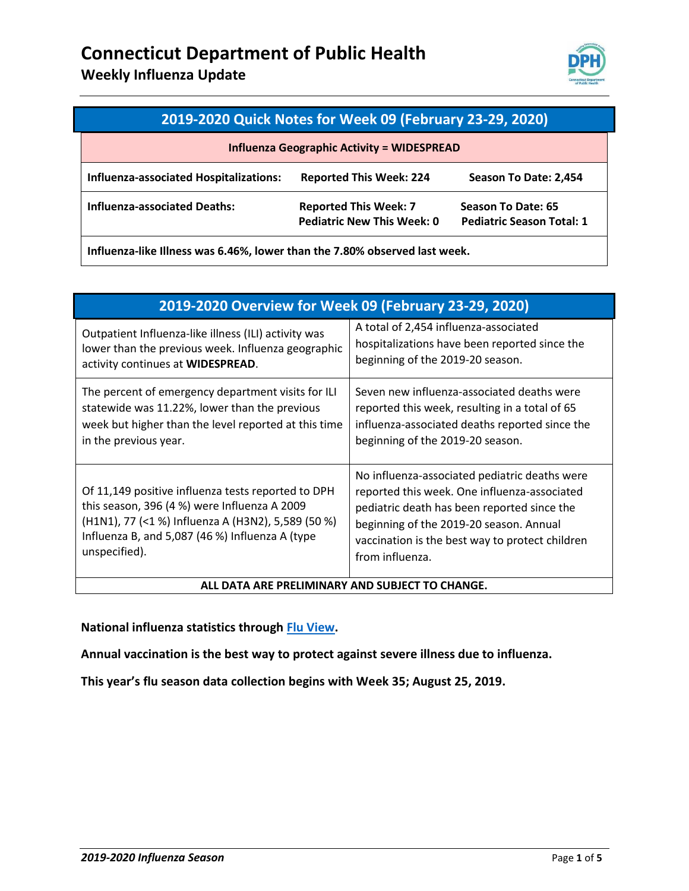**Weekly Influenza Update** 



| 2019-2020 Quick Notes for Week 09 (February 23-29, 2020) |                                                                   |                                                        |  |
|----------------------------------------------------------|-------------------------------------------------------------------|--------------------------------------------------------|--|
| <b>Influenza Geographic Activity = WIDESPREAD</b>        |                                                                   |                                                        |  |
| Influenza-associated Hospitalizations:                   | <b>Reported This Week: 224</b>                                    | Season To Date: 2,454                                  |  |
| <b>Influenza-associated Deaths:</b>                      | <b>Reported This Week: 7</b><br><b>Pediatric New This Week: 0</b> | Season To Date: 65<br><b>Pediatric Season Total: 1</b> |  |

**Influenza-like Illness was 6.46%, lower than the 7.80% observed last week.** 

| 2019-2020 Overview for Week 09 (February 23-29, 2020)                                                                                                                                                                        |                                                                                                                                                                                                                                                               |  |
|------------------------------------------------------------------------------------------------------------------------------------------------------------------------------------------------------------------------------|---------------------------------------------------------------------------------------------------------------------------------------------------------------------------------------------------------------------------------------------------------------|--|
| Outpatient Influenza-like illness (ILI) activity was<br>lower than the previous week. Influenza geographic<br>activity continues at WIDESPREAD.                                                                              | A total of 2,454 influenza-associated<br>hospitalizations have been reported since the<br>beginning of the 2019-20 season.                                                                                                                                    |  |
| The percent of emergency department visits for ILI<br>statewide was 11.22%, lower than the previous<br>week but higher than the level reported at this time<br>in the previous year.                                         | Seven new influenza-associated deaths were<br>reported this week, resulting in a total of 65<br>influenza-associated deaths reported since the<br>beginning of the 2019-20 season.                                                                            |  |
| Of 11,149 positive influenza tests reported to DPH<br>this season, 396 (4 %) were Influenza A 2009<br>(H1N1), 77 (<1 %) Influenza A (H3N2), 5,589 (50 %)<br>Influenza B, and 5,087 (46 %) Influenza A (type<br>unspecified). | No influenza-associated pediatric deaths were<br>reported this week. One influenza-associated<br>pediatric death has been reported since the<br>beginning of the 2019-20 season. Annual<br>vaccination is the best way to protect children<br>from influenza. |  |
| ALL DATA ARE PRELIMINARY AND SUBJECT TO CHANGE.                                                                                                                                                                              |                                                                                                                                                                                                                                                               |  |

**National influenza statistics through [Flu View.](https://www.cdc.gov/flu/weekly/fluactivitysurv.htm)**

**Annual vaccination is the best way to protect against severe illness due to influenza.**

**This year's flu season data collection begins with Week 35; August 25, 2019.**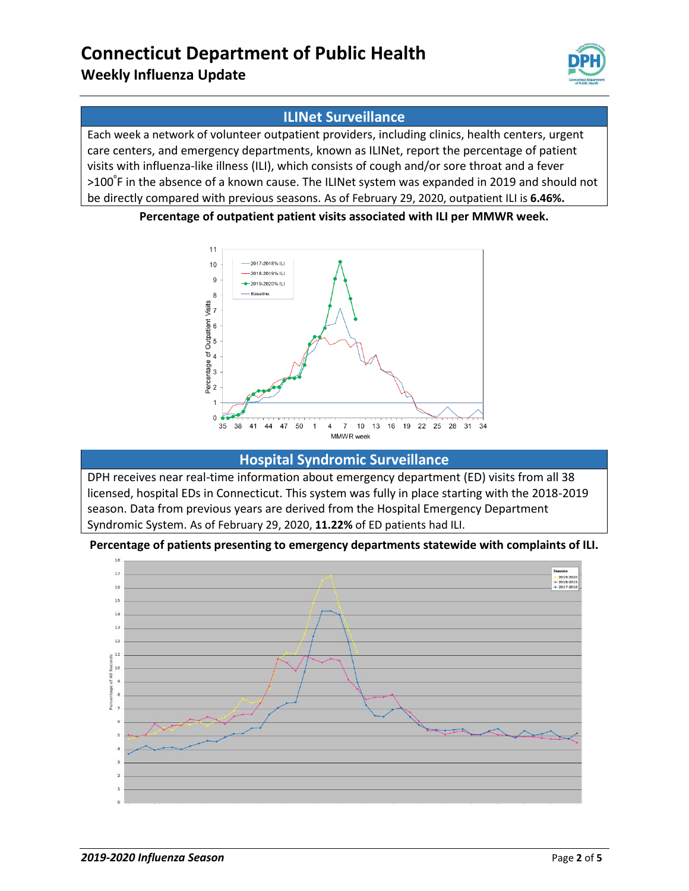## **Weekly Influenza Update**



### **ILINet Surveillance**

Each week a network of volunteer outpatient providers, including clinics, health centers, urgent care centers, and emergency departments, known as ILINet, report the percentage of patient visits with influenza-like illness (ILI), which consists of cough and/or sore throat and a fever >100<sup>⁰</sup>F in the absence of a known cause. The ILINet system was expanded in 2019 and should not be directly compared with previous seasons. As of February 29, 2020, outpatient ILI is **6.46%.**

#### **Percentage of outpatient patient visits associated with ILI per MMWR week.**



### **Hospital Syndromic Surveillance**

DPH receives near real-time information about emergency department (ED) visits from all 38 licensed, hospital EDs in Connecticut. This system was fully in place starting with the 2018-2019 season. Data from previous years are derived from the Hospital Emergency Department Syndromic System. As of February 29, 2020, **11.22%** of ED patients had ILI.

#### **Percentage of patients presenting to emergency departments statewide with complaints of ILI.**

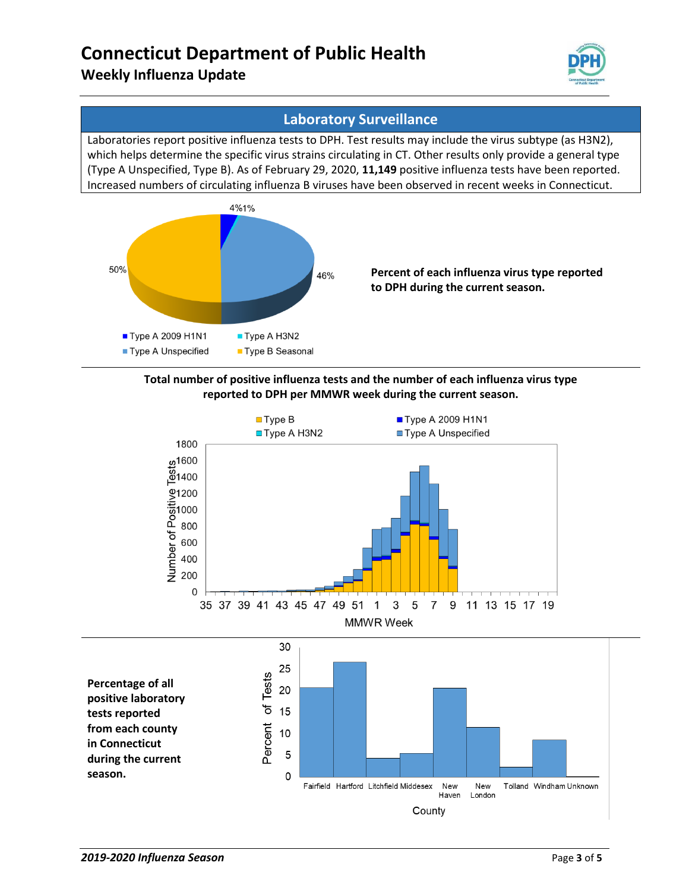## **Weekly Influenza Update**



### **Laboratory Surveillance**

Laboratories report positive influenza tests to DPH. Test results may include the virus subtype (as H3N2), which helps determine the specific virus strains circulating in CT. Other results only provide a general type (Type A Unspecified, Type B). As of February 29, 2020, **11,149** positive influenza tests have been reported. Increased numbers of circulating influenza B viruses have been observed in recent weeks in Connecticut.



#### **Total number of positive influenza tests and the number of each influenza virus type reported to DPH per MMWR week during the current season.**

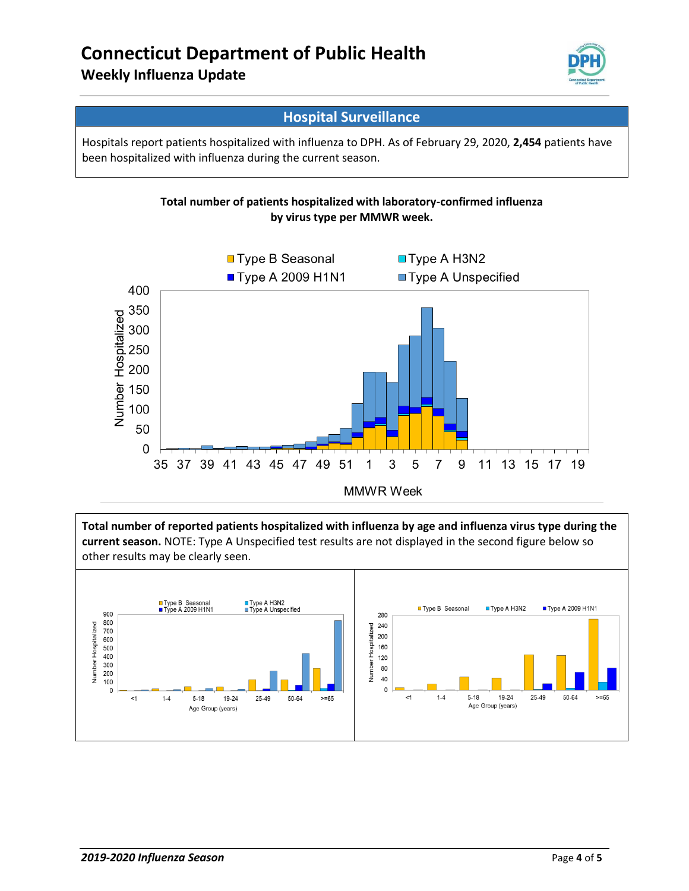## **Weekly Influenza Update**



### **Hospital Surveillance**

Hospitals report patients hospitalized with influenza to DPH. As of February 29, 2020, **2,454** patients have been hospitalized with influenza during the current season.





**Total number of reported patients hospitalized with influenza by age and influenza virus type during the current season.** NOTE: Type A Unspecified test results are not displayed in the second figure below so other results may be clearly seen.